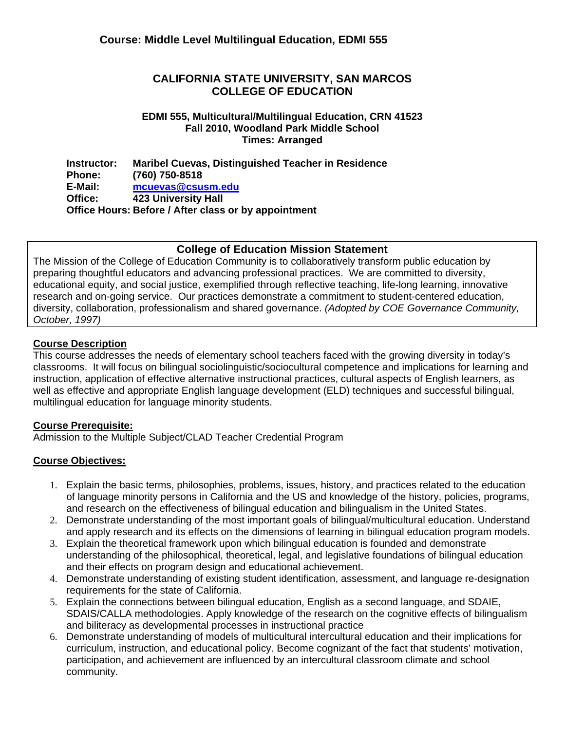### **CALIFORNIA STATE UNIVERSITY, SAN MARCOS COLLEGE OF EDUCATION**

### **EDMI 555, Multicultural/Multilingual Education, CRN 41523 Fall 2010, Woodland Park Middle School Times: Arranged**

**Instructor: Phone: E-Mail: Office: Maribel Cuevas, Distinguished Teacher in Residence (760) 750-8518 mcuevas@csusm.edu 423 University Hall Office Hours: Before / After class or by appointment** 

### **College of Education Mission Statement**

The Mission of the College of Education Community is to collaboratively transform public education by preparing thoughtful educators and advancing professional practices. We are committed to diversity, educational equity, and social justice, exemplified through reflective teaching, life-long learning, innovative research and on-going service. Our practices demonstrate a commitment to student-centered education, diversity, collaboration, professionalism and shared governance. *(Adopted by COE Governance Community, October, 1997)*

### **Course Description**

 instruction, application of effective alternative instructional practices, cultural aspects of English learners, as This course addresses the needs of elementary school teachers faced with the growing diversity in today's classrooms. It will focus on bilingual sociolinguistic/sociocultural competence and implications for learning and well as effective and appropriate English language development (ELD) techniques and successful bilingual, multilingual education for language minority students.

### **Course Prerequisite:**

Admission to the Multiple Subject/CLAD Teacher Credential Program

### **Course Objectives:**

- and research on the effectiveness of bilingual education and bilingualism in the United States. 1. Explain the basic terms, philosophies, problems, issues, history, and practices related to the education of language minority persons in California and the US and knowledge of the history, policies, programs,
- and apply research and its effects on the dimensions of learning in bilingual education program models. 2. Demonstrate understanding of the most important goals of bilingual/multicultural education. Understand
- and their effects on program design and educational achievement. 3. Explain the theoretical framework upon which bilingual education is founded and demonstrate understanding of the philosophical, theoretical, legal, and legislative foundations of bilingual education
- requirements for the state of California. 4. Demonstrate understanding of existing student identification, assessment, and language re-designation
- and biliteracy as developmental processes in instructional practice 5. Explain the connections between bilingual education, English as a second language, and SDAIE, SDAIS/CALLA methodologies. Apply knowledge of the research on the cognitive effects of bilingualism
- community. 6. Demonstrate understanding of models of multicultural intercultural education and their implications for curriculum, instruction, and educational policy. Become cognizant of the fact that students' motivation, participation, and achievement are influenced by an intercultural classroom climate and school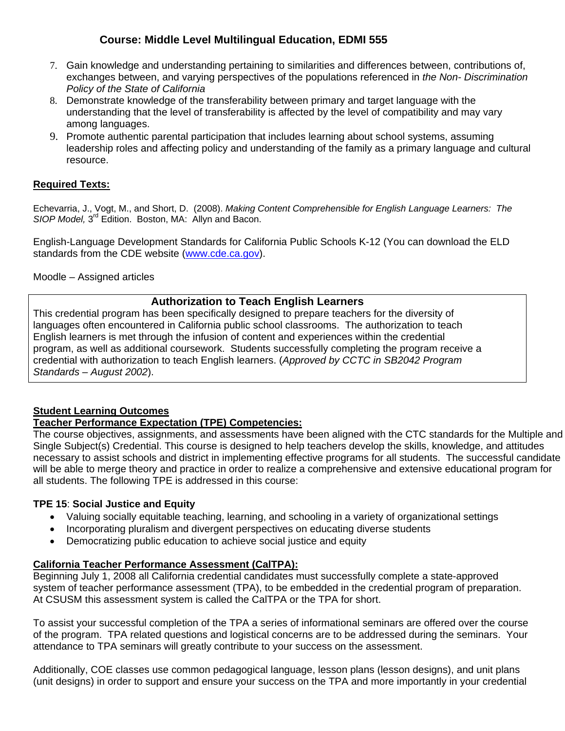- *Policy of the State of California* 7. Gain knowledge and understanding pertaining to similarities and differences between, contributions of, exchanges between, and varying perspectives of the populations referenced in *the Non- Discrimination*
- among languages. 8. Demonstrate knowledge of the transferability between primary and target language with the understanding that the level of transferability is affected by the level of compatibility and may vary
- resource. 9. Promote authentic parental participation that includes learning about school systems, assuming leadership roles and affecting policy and understanding of the family as a primary language and cultural

# **Required Texts:**

Echevarria, J., Vogt, M., and Short, D. (2008). *Making Content Comprehensible for English Language Learners: The SIOP Model,* 3rd Edition. Boston, MA: Allyn and Bacon.

English-Language Development Standards for California Public Schools K-12 (You can download the ELD standards from the CDE website (www.cde.ca.gov).

Moodle – Assigned articles

# **Authorization to Teach English Learners**

This credential program has been specifically designed to prepare teachers for the diversity of languages often encountered in California public school classrooms. The authorization to teach English learners is met through the infusion of content and experiences within the credential program, as well as additional coursework. Students successfully completing the program receive a credential with authorization to teach English learners. (*Approved by CCTC in SB2042 Program Standards – August 2002*).

### **Student Learning Outcomes**

### **Teacher Performance Expectation (TPE) Competencies:**

The course objectives, assignments, and assessments have been aligned with the CTC standards for the Multiple and Single Subject(s) Credential. This course is designed to help teachers develop the skills, knowledge, and attitudes necessary to assist schools and district in implementing effective programs for all students. The successful candidate will be able to merge theory and practice in order to realize a comprehensive and extensive educational program for all students. The following TPE is addressed in this course:

### **TPE 15**: **Social Justice and Equity**

- Valuing socially equitable teaching, learning, and schooling in a variety of organizational settings
- Incorporating pluralism and divergent perspectives on educating diverse students
- Democratizing public education to achieve social justice and equity

### **California Teacher Performance Assessment (CalTPA):**

system of teacher performance assessment (TPA), to be embedded in the credential program of preparation.<br>At CSUSM this assessment system is called the CalTPA or the TPA for short. Beginning July 1, 2008 all California credential candidates must successfully complete a state-approved

To assist your successful completion of the TPA a series of informational seminars are offered over the course of the program. TPA related questions and logistical concerns are to be addressed during the seminars. Your attendance to TPA seminars will greatly contribute to your success on the assessment.

Additionally, COE classes use common pedagogical language, lesson plans (lesson designs), and unit plans (unit designs) in order to support and ensure your success on the TPA and more importantly in your credential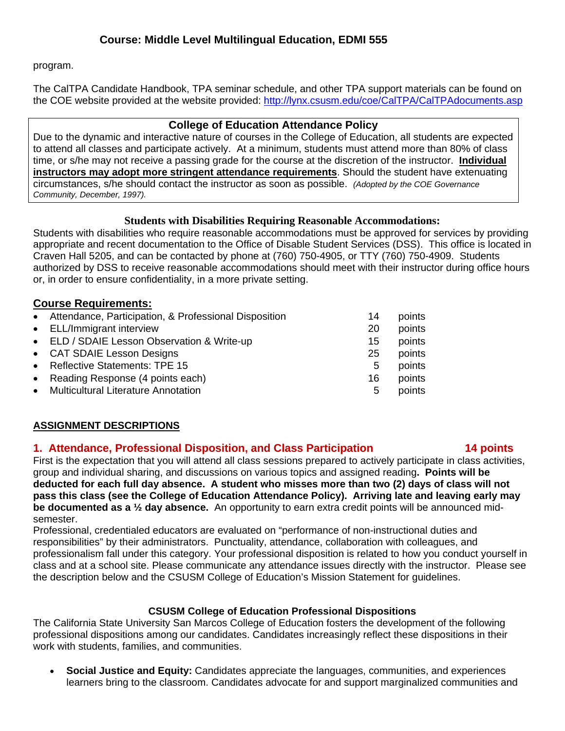program.

The CalTPA Candidate Handbook, TPA seminar schedule, and other TPA support materials can be found on the COE website provided at the website provided: http://lynx.csusm.edu/coe/CalTPA/CalTPAdocuments.asp

### **College of Education Attendance Policy**

 circumstances, s/he should contact the instructor as soon as possible. *(Adopted by the COE Governance*  Due to the dynamic and interactive nature of courses in the College of Education, all students are expected to attend all classes and participate actively. At a minimum, students must attend more than 80% of class time, or s/he may not receive a passing grade for the course at the discretion of the instructor. **Individual instructors may adopt more stringent attendance requirements**. Should the student have extenuating *Community, December, 1997).* 

### **Students with Disabilities Requiring Reasonable Accommodations:**

Students with disabilities who require reasonable accommodations must be approved for services by providing appropriate and recent documentation to the Office of Disable Student Services (DSS). This office is located in Craven Hall 5205, and can be contacted by phone at (760) 750-4905, or TTY (760) 750-4909. Students authorized by DSS to receive reasonable accommodations should meet with their instructor during office hours or, in order to ensure confidentiality, in a more private setting.

# **Course Requirements:**

| • Reflective Statements: TPE 15<br>points<br>5<br>• Reading Response (4 points each)<br>16<br>• Multicultural Literature Annotation<br>5 | • Attendance, Participation, & Professional Disposition<br>• ELL/Immigrant interview<br>• ELD / SDAIE Lesson Observation & Write-up<br>• CAT SDAIE Lesson Designs | 14<br>20<br>15<br>25 | points<br>points<br>points<br>points |
|------------------------------------------------------------------------------------------------------------------------------------------|-------------------------------------------------------------------------------------------------------------------------------------------------------------------|----------------------|--------------------------------------|
|                                                                                                                                          |                                                                                                                                                                   |                      | points<br>points                     |

### **ASSIGNMENT DESCRIPTIONS**

### **1. Attendance, Professional Disposition, and Class Participation 14 points**

First is the expectation that you will attend all class sessions prepared to actively participate in class activities, group and individual sharing, and discussions on various topics and assigned reading**. Points will be deducted for each full day absence. A student who misses more than two (2) days of class will not pass this class (see the College of Education Attendance Policy). Arriving late and leaving early may be documented as a ½ day absence.** An opportunity to earn extra credit points will be announced midsemester.

 the description below and the CSUSM College of Education's Mission Statement for guidelines. Professional, credentialed educators are evaluated on "performance of non-instructional duties and responsibilities" by their administrators. Punctuality, attendance, collaboration with colleagues, and professionalism fall under this category. Your professional disposition is related to how you conduct yourself in class and at a school site. Please communicate any attendance issues directly with the instructor. Please see

### **CSUSM College of Education Professional Dispositions**

The California State University San Marcos College of Education fosters the development of the following professional dispositions among our candidates. Candidates increasingly reflect these dispositions in their work with students, families, and communities.

 **Social Justice and Equity:** Candidates appreciate the languages, communities, and experiences learners bring to the classroom. Candidates advocate for and support marginalized communities and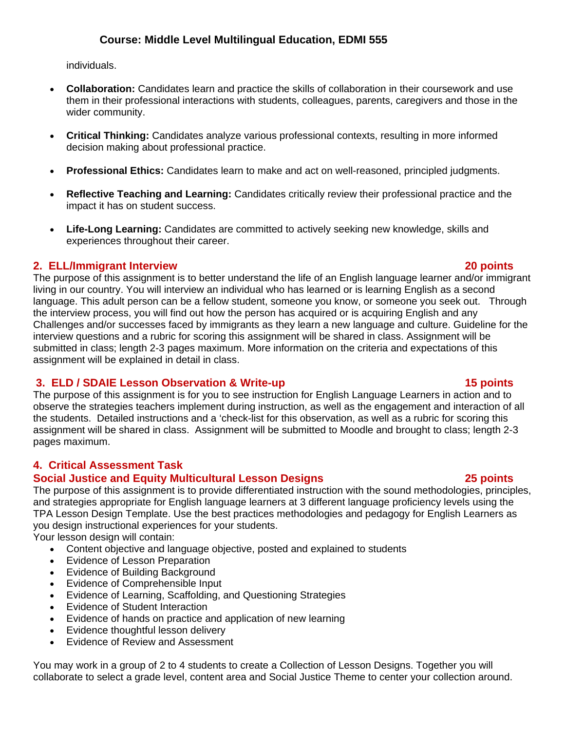individuals.

- **Collaboration:** Candidates learn and practice the skills of collaboration in their coursework and use them in their professional interactions with students, colleagues, parents, caregivers and those in the wider community.
- **Critical Thinking:** Candidates analyze various professional contexts, resulting in more informed decision making about professional practice.
- **Professional Ethics:** Candidates learn to make and act on well-reasoned, principled judgments.
- **Reflective Teaching and Learning:** Candidates critically review their professional practice and the impact it has on student success.
- experiences throughout their career. **Life-Long Learning:** Candidates are committed to actively seeking new knowledge, skills and

# **2. ELL/Immigrant Interview 20 points**

The purpose of this assignment is to better understand the life of an English language learner and/or immigrant living in our country. You will interview an individual who has learned or is learning English as a second language. This adult person can be a fellow student, someone you know, or someone you seek out. Through the interview process, you will find out how the person has acquired or is acquiring English and any Challenges and/or successes faced by immigrants as they learn a new language and culture. Guideline for the interview questions and a rubric for scoring this assignment will be shared in class. Assignment will be submitted in class; length 2-3 pages maximum. More information on the criteria and expectations of this assignment will be explained in detail in class.

# **3. ELD / SDAIE Lesson Observation & Write-up 15 points 15 points**

The purpose of this assignment is for you to see instruction for English Language Learners in action and to observe the strategies teachers implement during instruction, as well as the engagement and interaction of all the students. Detailed instructions and a 'check-list for this observation, as well as a rubric for scoring this assignment will be shared in class. Assignment will be submitted to Moodle and brought to class; length 2-3 pages maximum.

# **4. Critical Assessment Task**

### **Social Justice and Equity Multicultural Lesson Designs 25 points**

The purpose of this assignment is to provide differentiated instruction with the sound methodologies, principles, and strategies appropriate for English language learners at 3 different language proficiency levels using the TPA Lesson Design Template. Use the best practices methodologies and pedagogy for English Learners as you design instructional experiences for your students.

Your lesson design will contain:

- Content objective and language objective, posted and explained to students
- Evidence of Lesson Preparation
- Evidence of Building Background
- Evidence of Comprehensible Input
- Evidence of Learning, Scaffolding, and Questioning Strategies
- Evidence of Student Interaction
- Evidence of hands on practice and application of new learning
- Evidence thoughtful lesson delivery
- Evidence of Review and Assessment

You may work in a group of 2 to 4 students to create a Collection of Lesson Designs. Together you will collaborate to select a grade level, content area and Social Justice Theme to center your collection around.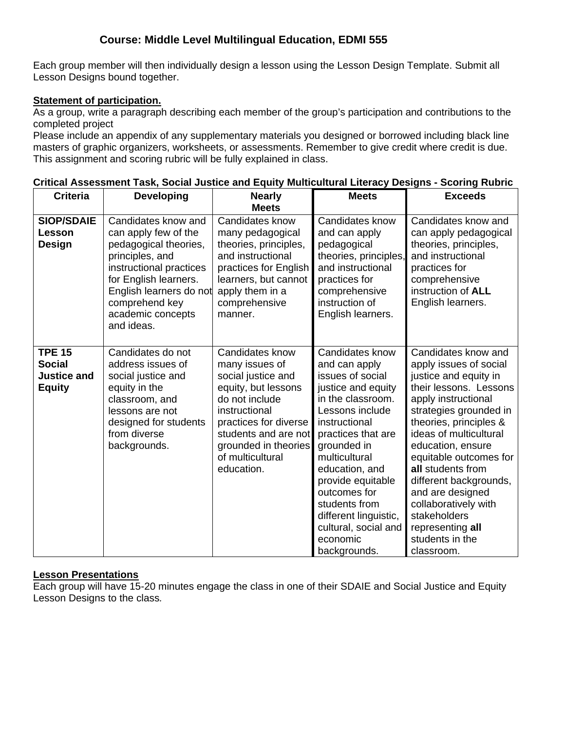Each group member will then individually design a lesson using the Lesson Design Template. Submit all Lesson Designs bound together.

### **Statement of participation.**

As a group, write a paragraph describing each member of the group's participation and contributions to the completed project

 This assignment and scoring rubric will be fully explained in class. Please include an appendix of any supplementary materials you designed or borrowed including black line masters of graphic organizers, worksheets, or assessments. Remember to give credit where credit is due.

| <b>Criteria</b>                                                       | <b>Developing</b>                                                                                                                                                                                                           | <b>Nearly</b>                                                                                                                                                                                                                | <b>Meets</b>                                                                                                                                                                                                                                                                                                                                   | <b>Exceeds</b>                                                                                                                                                                                                                                                                                                                                                                                                       |
|-----------------------------------------------------------------------|-----------------------------------------------------------------------------------------------------------------------------------------------------------------------------------------------------------------------------|------------------------------------------------------------------------------------------------------------------------------------------------------------------------------------------------------------------------------|------------------------------------------------------------------------------------------------------------------------------------------------------------------------------------------------------------------------------------------------------------------------------------------------------------------------------------------------|----------------------------------------------------------------------------------------------------------------------------------------------------------------------------------------------------------------------------------------------------------------------------------------------------------------------------------------------------------------------------------------------------------------------|
|                                                                       |                                                                                                                                                                                                                             | <b>Meets</b>                                                                                                                                                                                                                 |                                                                                                                                                                                                                                                                                                                                                |                                                                                                                                                                                                                                                                                                                                                                                                                      |
| <b>SIOP/SDAIE</b><br>Lesson<br>Design                                 | Candidates know and<br>can apply few of the<br>pedagogical theories,<br>principles, and<br>instructional practices<br>for English learners.<br>English learners do not<br>comprehend key<br>academic concepts<br>and ideas. | Candidates know<br>many pedagogical<br>theories, principles,<br>and instructional<br>practices for English<br>learners, but cannot<br>apply them in a<br>comprehensive<br>manner.                                            | Candidates know<br>and can apply<br>pedagogical<br>theories, principles,<br>and instructional<br>practices for<br>comprehensive<br>instruction of<br>English learners.                                                                                                                                                                         | Candidates know and<br>can apply pedagogical<br>theories, principles,<br>and instructional<br>practices for<br>comprehensive<br>instruction of <b>ALL</b><br>English learners.                                                                                                                                                                                                                                       |
| <b>TPE 15</b><br><b>Social</b><br><b>Justice and</b><br><b>Equity</b> | Candidates do not<br>address issues of<br>social justice and<br>equity in the<br>classroom, and<br>lessons are not<br>designed for students<br>from diverse<br>backgrounds.                                                 | Candidates know<br>many issues of<br>social justice and<br>equity, but lessons<br>do not include<br>instructional<br>practices for diverse<br>students and are not<br>grounded in theories<br>of multicultural<br>education. | Candidates know<br>and can apply<br>issues of social<br>justice and equity<br>in the classroom.<br>Lessons include<br>instructional<br>practices that are<br>grounded in<br>multicultural<br>education, and<br>provide equitable<br>outcomes for<br>students from<br>different linguistic,<br>cultural, social and<br>economic<br>backgrounds. | Candidates know and<br>apply issues of social<br>justice and equity in<br>their lessons. Lessons<br>apply instructional<br>strategies grounded in<br>theories, principles &<br>ideas of multicultural<br>education, ensure<br>equitable outcomes for<br>all students from<br>different backgrounds,<br>and are designed<br>collaboratively with<br>stakeholders<br>representing all<br>students in the<br>classroom. |

# **Critical Assessment Task, Social Justice and Equity Multicultural Literacy Designs - Scoring Rubric**

### **Lesson Presentations**

Each group will have 15-20 minutes engage the class in one of their SDAIE and Social Justice and Equity Lesson Designs to the class*.*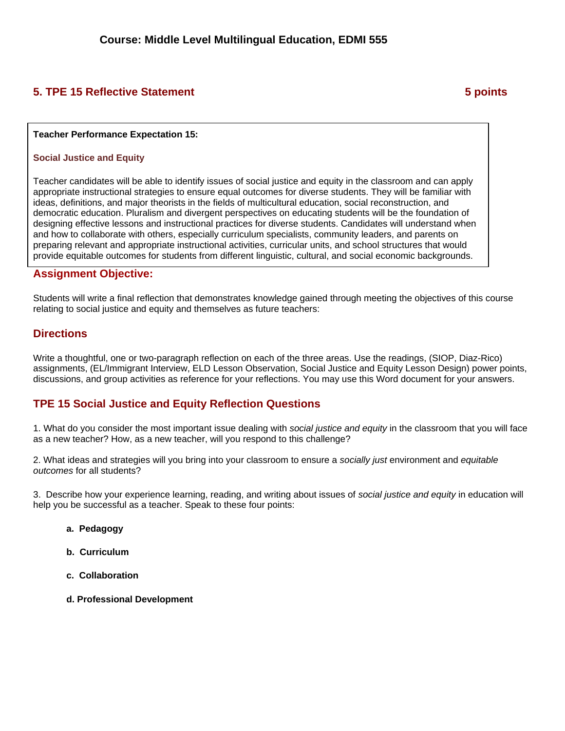# **5. TPE 15 Reflective Statement 6 and 5 points 3 points 3 points 3 points 3 points 3 points 3 points 3 points 3 points 3 points 3 points 3 points 3 points 3 points 3 points 3 points 3 points 3 points 3 points 3 points 3 po**

### **Teacher Performance Expectation 15:**

### **Social Justice and Equity**

Teacher candidates will be able to identify issues of social justice and equity in the classroom and can apply appropriate instructional strategies to ensure equal outcomes for diverse students. They will be familiar with ideas, definitions, and major theorists in the fields of multicultural education, social reconstruction, and democratic education. Pluralism and divergent perspectives on educating students will be the foundation of designing effective lessons and instructional practices for diverse students. Candidates will understand when and how to collaborate with others, especially curriculum specialists, community leaders, and parents on preparing relevant and appropriate instructional activities, curricular units, and school structures that would provide equitable outcomes for students from different linguistic, cultural, and social economic backgrounds.

### **Assignment Objective:**

Students will write a final reflection that demonstrates knowledge gained through meeting the objectives of this course relating to social justice and equity and themselves as future teachers:

### **Directions**

Write a thoughtful, one or two-paragraph reflection on each of the three areas. Use the readings, (SIOP, Diaz-Rico) assignments, (EL/Immigrant Interview, ELD Lesson Observation, Social Justice and Equity Lesson Design) power points, discussions, and group activities as reference for your reflections. You may use this Word document for your answers.

### **TPE 15 Social Justice and Equity Reflection Questions**

1. What do you consider the most important issue dealing with *social justice and equity* in the classroom that you will face as a new teacher? How, as a new teacher, will you respond to this challenge?

2. What ideas and strategies will you bring into your classroom to ensure a *socially just* environment and *equitable outcomes* for all students?

3. Describe how your experience learning, reading, and writing about issues of *social justice and equity* in education will help you be successful as a teacher. Speak to these four points:

- **a. Pedagogy**
- **b. Curriculum**
- **c. Collaboration**
- **d. Professional Development**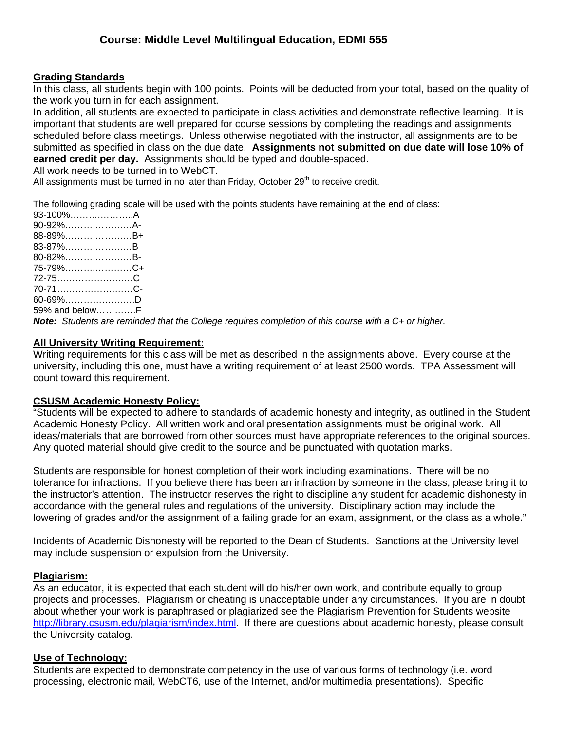### **Grading Standards**

In this class, all students begin with 100 points. Points will be deducted from your total, based on the quality of the work you turn in for each assignment.

 submitted as specified in class on the due date. **Assignments not submitted on due date will lose 10% of**  In addition, all students are expected to participate in class activities and demonstrate reflective learning. It is important that students are well prepared for course sessions by completing the readings and assignments scheduled before class meetings. Unless otherwise negotiated with the instructor, all assignments are to be **earned credit per day.** Assignments should be typed and double-spaced.

All work needs to be turned in to WebCT.

All assignments must be turned in no later than Friday, October  $29<sup>th</sup>$  to receive credit.

The following grading scale will be used with the points students have remaining at the end of class:

| 93-100%A                |  |
|-------------------------|--|
| 90-92%A-                |  |
| 88-89%B+                |  |
| 83-87%B                 |  |
| 80-82%B-                |  |
| <u>75-79%……………………C+</u> |  |
|                         |  |
|                         |  |
| 60-69%D                 |  |
| 59% and belowF          |  |

*Note: Students are reminded that the College requires completion of this course with a C+ or higher.* 

### **All University Writing Requirement:**

Writing requirements for this class will be met as described in the assignments above. Every course at the university, including this one, must have a writing requirement of at least 2500 words. TPA Assessment will count toward this requirement.

### **CSUSM Academic Honesty Policy:**

"Students will be expected to adhere to standards of academic honesty and integrity, as outlined in the Student Academic Honesty Policy. All written work and oral presentation assignments must be original work. All ideas/materials that are borrowed from other sources must have appropriate references to the original sources. Any quoted material should give credit to the source and be punctuated with quotation marks.

Students are responsible for honest completion of their work including examinations. There will be no tolerance for infractions. If you believe there has been an infraction by someone in the class, please bring it to the instructor's attention. The instructor reserves the right to discipline any student for academic dishonesty in accordance with the general rules and regulations of the university. Disciplinary action may include the lowering of grades and/or the assignment of a failing grade for an exam, assignment, or the class as a whole."

Incidents of Academic Dishonesty will be reported to the Dean of Students. Sanctions at the University level may include suspension or expulsion from the University.

### **Plagiarism:**

As an educator, it is expected that each student will do his/her own work, and contribute equally to group projects and processes. Plagiarism or cheating is unacceptable under any circumstances. If you are in doubt about whether your work is paraphrased or plagiarized see the Plagiarism Prevention for Students website http://library.csusm.edu/plagiarism/index.html. If there are questions about academic honesty, please consult the University catalog.

### **Use of Technology:**

Students are expected to demonstrate competency in the use of various forms of technology (i.e. word processing, electronic mail, WebCT6, use of the Internet, and/or multimedia presentations). Specific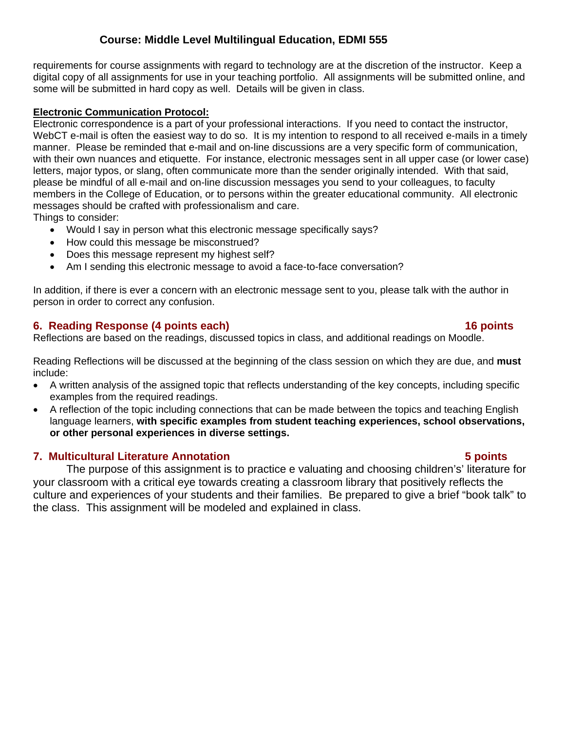requirements for course assignments with regard to technology are at the discretion of the instructor. Keep a digital copy of all assignments for use in your teaching portfolio. All assignments will be submitted online, and some will be submitted in hard copy as well. Details will be given in class.

### **Electronic Communication Protocol:**

Electronic correspondence is a part of your professional interactions. If you need to contact the instructor, WebCT e-mail is often the easiest way to do so. It is my intention to respond to all received e-mails in a timely manner. Please be reminded that e-mail and on-line discussions are a very specific form of communication, with their own nuances and etiquette. For instance, electronic messages sent in all upper case (or lower case) letters, major typos, or slang, often communicate more than the sender originally intended. With that said, please be mindful of all e-mail and on-line discussion messages you send to your colleagues, to faculty members in the College of Education, or to persons within the greater educational community. All electronic messages should be crafted with professionalism and care.

Things to consider:

- Would I say in person what this electronic message specifically says?
- How could this message be misconstrued?
- Does this message represent my highest self?
- Am I sending this electronic message to avoid a face-to-face conversation?

In addition, if there is ever a concern with an electronic message sent to you, please talk with the author in person in order to correct any confusion.

# **6. Reading Response (4 points each) 16 points**

Reflections are based on the readings, discussed topics in class, and additional readings on Moodle.

Reading Reflections will be discussed at the beginning of the class session on which they are due, and **must**  include:

- A written analysis of the assigned topic that reflects understanding of the key concepts, including specific examples from the required readings.
- A reflection of the topic including connections that can be made between the topics and teaching English language learners, **with specific examples from student teaching experiences, school observations, or other personal experiences in diverse settings.**

# **7. Multicultural Literature Annotation 5 points**

The purpose of this assignment is to practice e valuating and choosing children's' literature for your classroom with a critical eye towards creating a classroom library that positively reflects the culture and experiences of your students and their families. Be prepared to give a brief "book talk" to the class. This assignment will be modeled and explained in class.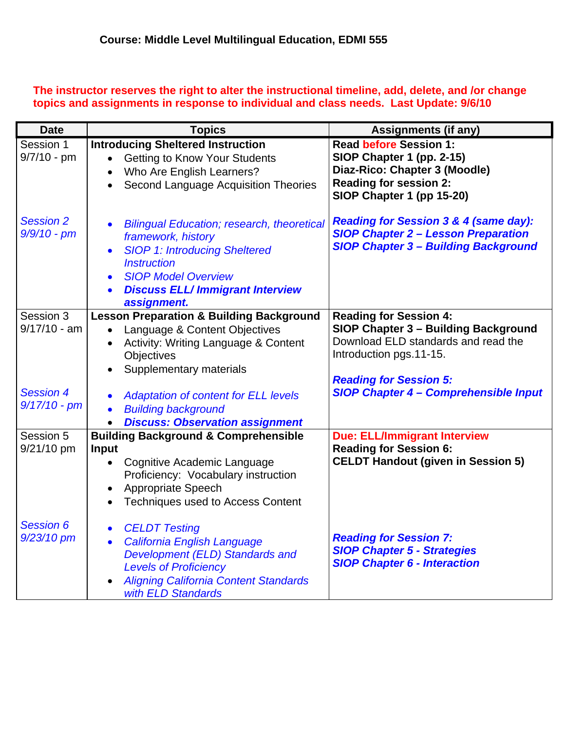# **The instructor reserves the right to alter the instructional timeline, add, delete, and /or change topics and assignments in response to individual and class needs. Last Update: 9/6/10**

| <b>Date</b>                        | <b>Topics</b>                                                                                                                                                                                                                                          | <b>Assignments (if any)</b>                                                                                                                               |
|------------------------------------|--------------------------------------------------------------------------------------------------------------------------------------------------------------------------------------------------------------------------------------------------------|-----------------------------------------------------------------------------------------------------------------------------------------------------------|
| Session 1<br>$9/7/10 - pm$         | <b>Introducing Sheltered Instruction</b><br><b>Getting to Know Your Students</b><br>Who Are English Learners?<br>Second Language Acquisition Theories<br>$\bullet$                                                                                     | <b>Read before Session 1:</b><br>SIOP Chapter 1 (pp. 2-15)<br>Diaz-Rico: Chapter 3 (Moodle)<br><b>Reading for session 2:</b><br>SIOP Chapter 1 (pp 15-20) |
| <b>Session 2</b><br>$9/9/10 - pm$  | <b>Bilingual Education; research, theoretical</b><br>framework, history<br><b>SIOP 1: Introducing Sheltered</b><br><b>Instruction</b><br><b>SIOP Model Overview</b><br>$\bullet$<br><b>Discuss ELL/Immigrant Interview</b><br>$\bullet$<br>assignment. | <b>Reading for Session 3 &amp; 4 (same day):</b><br><b>SIOP Chapter 2 - Lesson Preparation</b><br><b>SIOP Chapter 3 - Building Background</b>             |
| Session 3<br>$9/17/10 - am$        | <b>Lesson Preparation &amp; Building Background</b><br>Language & Content Objectives<br>$\bullet$<br>Activity: Writing Language & Content<br>Objectives<br>Supplementary materials                                                                     | <b>Reading for Session 4:</b><br>SIOP Chapter 3 - Building Background<br>Download ELD standards and read the<br>Introduction pgs.11-15.                   |
| <b>Session 4</b><br>$9/17/10 - pm$ | <b>Adaptation of content for ELL levels</b><br><b>Building background</b><br><b>Discuss: Observation assignment</b>                                                                                                                                    | <b>Reading for Session 5:</b><br><b>SIOP Chapter 4 - Comprehensible Input</b>                                                                             |
| Session 5<br>9/21/10 pm            | <b>Building Background &amp; Comprehensible</b><br><b>Input</b><br>Cognitive Academic Language<br>$\bullet$<br>Proficiency: Vocabulary instruction<br>Appropriate Speech<br><b>Techniques used to Access Content</b><br>$\bullet$                      | <b>Due: ELL/Immigrant Interview</b><br><b>Reading for Session 6:</b><br><b>CELDT Handout (given in Session 5)</b>                                         |
| <b>Session 6</b><br>$9/23/10$ pm   | <b>CELDT Testing</b><br>$\bullet$<br>California English Language<br>$\bullet$<br>Development (ELD) Standards and<br><b>Levels of Proficiency</b><br><b>Aligning California Content Standards</b><br>with ELD Standards                                 | <b>Reading for Session 7:</b><br><b>SIOP Chapter 5 - Strategies</b><br><b>SIOP Chapter 6 - Interaction</b>                                                |